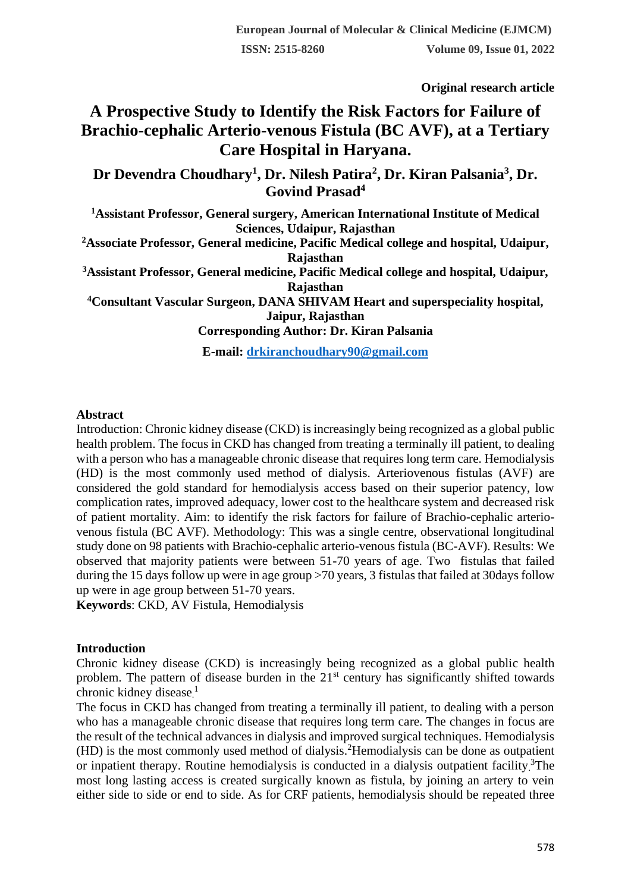**Original research article** 

# **A Prospective Study to Identify the Risk Factors for Failure of Brachio-cephalic Arterio-venous Fistula (BC AVF), at a Tertiary Care Hospital in Haryana.**

**Dr Devendra Choudhary<sup>1</sup> , Dr. Nilesh Patira<sup>2</sup> , Dr. Kiran Palsania<sup>3</sup> , Dr. Govind Prasad<sup>4</sup>**

**<sup>1</sup>Assistant Professor, General surgery, American International Institute of Medical Sciences, Udaipur, Rajasthan**

**<sup>2</sup>Associate Professor, General medicine, Pacific Medical college and hospital, Udaipur, Rajasthan**

**<sup>3</sup>Assistant Professor, General medicine, Pacific Medical college and hospital, Udaipur, Rajasthan**

**<sup>4</sup>Consultant Vascular Surgeon, DANA SHIVAM Heart and superspeciality hospital, Jaipur, Rajasthan**

**Corresponding Author: Dr. Kiran Palsania**

**E-mail: [drkiranchoudhary90@gmail.com](mailto:drkiranchoudhary90@gmail.com)**

#### **Abstract**

Introduction: Chronic kidney disease (CKD) is increasingly being recognized as a global public health problem. The focus in CKD has changed from treating a terminally ill patient, to dealing with a person who has a manageable chronic disease that requires long term care. Hemodialysis (HD) is the most commonly used method of dialysis. Arteriovenous fistulas (AVF) are considered the gold standard for hemodialysis access based on their superior patency, low complication rates, improved adequacy, lower cost to the healthcare system and decreased risk of patient mortality. Aim: to identify the risk factors for failure of Brachio-cephalic arteriovenous fistula (BC AVF). Methodology: This was a single centre, observational longitudinal study done on 98 patients with Brachio-cephalic arterio-venous fistula (BC-AVF). Results: We observed that majority patients were between 51-70 years of age. Two fistulas that failed during the 15 days follow up were in age group >70 years, 3 fistulas that failed at 30days follow up were in age group between 51-70 years.

**Keywords**: CKD, AV Fistula, Hemodialysis

#### **Introduction**

Chronic kidney disease (CKD) is increasingly being recognized as a global public health problem. The pattern of disease burden in the 21<sup>st</sup> century has significantly shifted towards chronic kidney disease.<sup>1</sup>

The focus in CKD has changed from treating a terminally ill patient, to dealing with a person who has a manageable chronic disease that requires long term care. The changes in focus are the result of the technical advances in dialysis and improved surgical techniques. Hemodialysis (HD) is the most commonly used method of dialysis.<sup>2</sup>Hemodialysis can be done as outpatient or inpatient therapy. Routine hemodialysis is conducted in a dialysis outpatient facility.<sup>3</sup>The most long lasting access is created surgically known as fistula, by joining an artery to vein either side to side or end to side. As for CRF patients, hemodialysis should be repeated three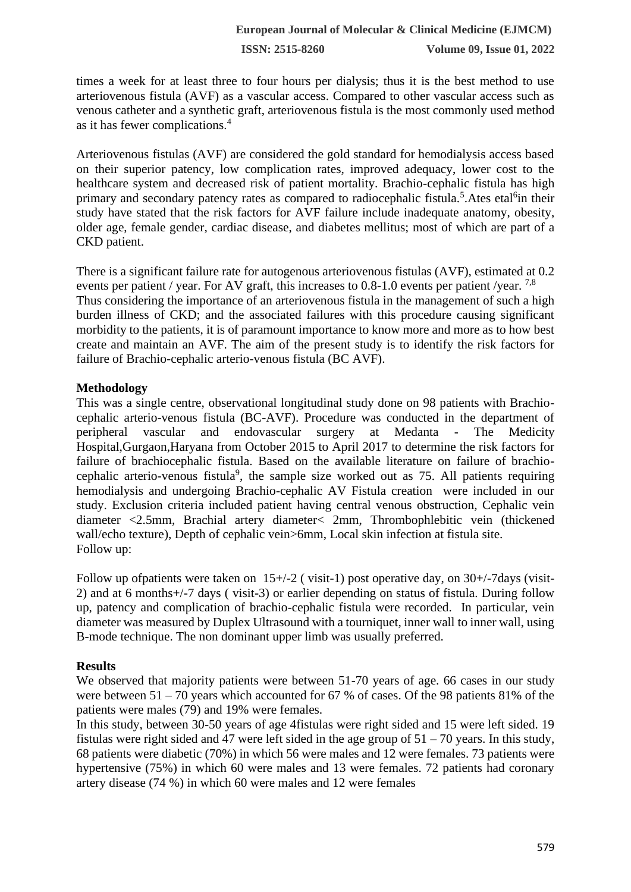**ISSN: 2515-8260 Volume 09, Issue 01, 2022**

times a week for at least three to four hours per dialysis; thus it is the best method to use arteriovenous fistula (AVF) as a vascular access. Compared to other vascular access such as venous catheter and a synthetic graft, arteriovenous fistula is the most commonly used method as it has fewer complications.<sup>4</sup>

Arteriovenous fistulas (AVF) are considered the gold standard for hemodialysis access based on their superior patency, low complication rates, improved adequacy, lower cost to the healthcare system and decreased risk of patient mortality. Brachio-cephalic fistula has high primary and secondary patency rates as compared to radiocephalic fistula.<sup>5</sup>. Ates etal<sup>6</sup>in their study have stated that the risk factors for AVF failure include inadequate anatomy, obesity, older age, female gender, cardiac disease, and diabetes mellitus; most of which are part of a CKD patient.

There is a significant failure rate for autogenous arteriovenous fistulas (AVF), estimated at 0.2 events per patient / year. For AV graft, this increases to 0.8-1.0 events per patient /year. <sup>7,8</sup> Thus considering the importance of an arteriovenous fistula in the management of such a high burden illness of CKD; and the associated failures with this procedure causing significant morbidity to the patients, it is of paramount importance to know more and more as to how best create and maintain an AVF. The aim of the present study is to identify the risk factors for failure of Brachio-cephalic arterio-venous fistula (BC AVF).

## **Methodology**

This was a single centre, observational longitudinal study done on 98 patients with Brachiocephalic arterio-venous fistula (BC-AVF). Procedure was conducted in the department of peripheral vascular and endovascular surgery at Medanta - The Medicity Hospital,Gurgaon,Haryana from October 2015 to April 2017 to determine the risk factors for failure of brachiocephalic fistula. Based on the available literature on failure of brachiocephalic arterio-venous fistula<sup>9</sup>, the sample size worked out as 75. All patients requiring hemodialysis and undergoing Brachio-cephalic AV Fistula creation were included in our study. Exclusion criteria included patient having central venous obstruction, Cephalic vein diameter <2.5mm, Brachial artery diameter< 2mm, Thrombophlebitic vein (thickened wall/echo texture), Depth of cephalic vein>6mm, Local skin infection at fistula site. Follow up:

Follow up of patients were taken on 15+/-2 (visit-1) post operative day, on 30+/-7days (visit-2) and at 6 months+/-7 days ( visit-3) or earlier depending on status of fistula. During follow up, patency and complication of brachio-cephalic fistula were recorded. In particular, vein diameter was measured by Duplex Ultrasound with a tourniquet, inner wall to inner wall, using B-mode technique. The non dominant upper limb was usually preferred.

### **Results**

We observed that majority patients were between 51-70 years of age. 66 cases in our study were between  $51 - 70$  years which accounted for 67 % of cases. Of the 98 patients 81% of the patients were males (79) and 19% were females.

In this study, between 30-50 years of age 4fistulas were right sided and 15 were left sided. 19 fistulas were right sided and 47 were left sided in the age group of  $51 - 70$  years. In this study, 68 patients were diabetic (70%) in which 56 were males and 12 were females. 73 patients were hypertensive (75%) in which 60 were males and 13 were females. 72 patients had coronary artery disease (74 %) in which 60 were males and 12 were females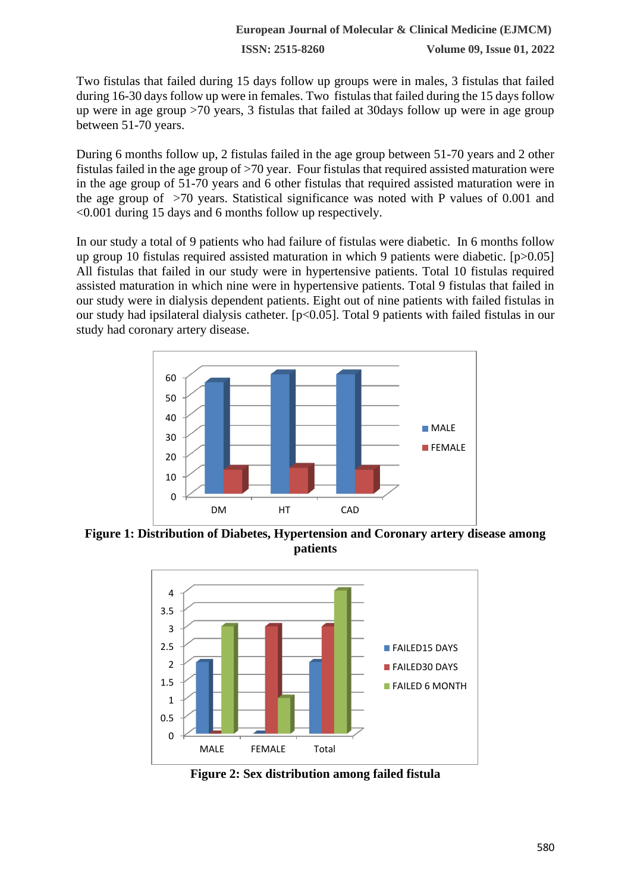Two fistulas that failed during 15 days follow up groups were in males, 3 fistulas that failed during 16-30 days follow up were in females. Two fistulas that failed during the 15 days follow up were in age group >70 years, 3 fistulas that failed at 30days follow up were in age group between 51-70 years.

During 6 months follow up, 2 fistulas failed in the age group between 51-70 years and 2 other fistulas failed in the age group of >70 year. Four fistulas that required assisted maturation were in the age group of 51-70 years and 6 other fistulas that required assisted maturation were in the age group of >70 years. Statistical significance was noted with P values of 0.001 and <0.001 during 15 days and 6 months follow up respectively.

In our study a total of 9 patients who had failure of fistulas were diabetic. In 6 months follow up group 10 fistulas required assisted maturation in which 9 patients were diabetic. [p>0.05] All fistulas that failed in our study were in hypertensive patients. Total 10 fistulas required assisted maturation in which nine were in hypertensive patients. Total 9 fistulas that failed in our study were in dialysis dependent patients. Eight out of nine patients with failed fistulas in our study had ipsilateral dialysis catheter. [p<0.05]. Total 9 patients with failed fistulas in our study had coronary artery disease.



**Figure 1: Distribution of Diabetes, Hypertension and Coronary artery disease among patients**



**Figure 2: Sex distribution among failed fistula**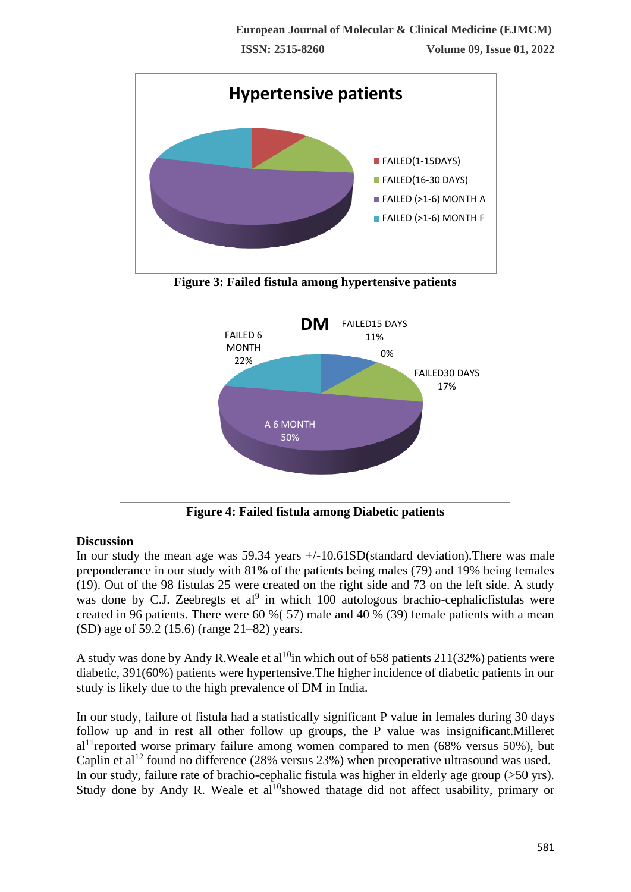

**Figure 3: Failed fistula among hypertensive patients**



**Figure 4: Failed fistula among Diabetic patients**

## **Discussion**

In our study the mean age was 59.34 years +/-10.61SD(standard deviation).There was male preponderance in our study with 81% of the patients being males (79) and 19% being females (19). Out of the 98 fistulas 25 were created on the right side and 73 on the left side. A study was done by C.J. Zeebregts et al<sup>9</sup> in which 100 autologous brachio-cephalicfistulas were created in 96 patients. There were 60 %( 57) male and 40 % (39) female patients with a mean (SD) age of 59.2 (15.6) (range 21–82) years.

A study was done by Andy R. Weale et al<sup>10</sup>in which out of 658 patients 211(32%) patients were diabetic, 391(60%) patients were hypertensive.The higher incidence of diabetic patients in our study is likely due to the high prevalence of DM in India.

In our study, failure of fistula had a statistically significant P value in females during 30 days follow up and in rest all other follow up groups, the P value was insignificant.Milleret  $al<sup>11</sup>$ reported worse primary failure among women compared to men (68% versus 50%), but Caplin et al<sup>12</sup> found no difference (28% versus 23%) when preoperative ultrasound was used. In our study, failure rate of brachio-cephalic fistula was higher in elderly age group (>50 yrs). Study done by Andy R. Weale et al<sup>10</sup>showed thatage did not affect usability, primary or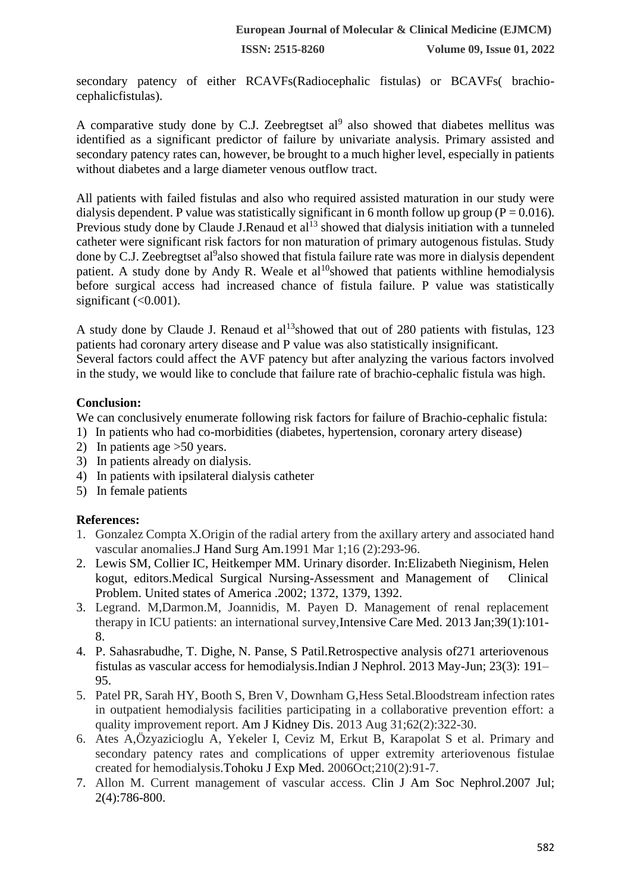**ISSN: 2515-8260 Volume 09, Issue 01, 2022**

secondary patency of either RCAVFs(Radiocephalic fistulas) or BCAVFs( brachiocephalicfistulas).

A comparative study done by C.J. Zeebregtset  $al^9$  also showed that diabetes mellitus was identified as a significant predictor of failure by univariate analysis. Primary assisted and secondary patency rates can, however, be brought to a much higher level, especially in patients without diabetes and a large diameter venous outflow tract.

All patients with failed fistulas and also who required assisted maturation in our study were dialysis dependent. P value was statistically significant in 6 month follow up group ( $P = 0.016$ ). Previous study done by Claude J.Renaud et al<sup>13</sup> showed that dialysis initiation with a tunneled catheter were significant risk factors for non maturation of primary autogenous fistulas. Study done by C.J. Zeebregtset al<sup>9</sup>also showed that fistula failure rate was more in dialysis dependent patient. A study done by Andy R. Weale et  $al^{10}$ showed that patients withline hemodialysis before surgical access had increased chance of fistula failure. P value was statistically significant  $( $0.001$ ).$ 

A study done by Claude J. Renaud et al<sup>13</sup>showed that out of 280 patients with fistulas, 123 patients had coronary artery disease and P value was also statistically insignificant. Several factors could affect the AVF patency but after analyzing the various factors involved in the study, we would like to conclude that failure rate of brachio-cephalic fistula was high.

### **Conclusion:**

We can conclusively enumerate following risk factors for failure of Brachio-cephalic fistula:

- 1) In patients who had co-morbidities (diabetes, hypertension, coronary artery disease)
- 2) In patients age >50 years.
- 3) In patients already on dialysis.
- 4) In patients with ipsilateral dialysis catheter
- 5) In female patients

### **References:**

- 1. Gonzalez Compta X.Origin of the radial artery from the axillary artery and associated hand vascular anomalies.J Hand Surg Am.1991 Mar 1;16 (2):293-96.
- 2. Lewis SM, Collier IC, Heitkemper MM. Urinary disorder. In:Elizabeth Nieginism, Helen kogut, editors.Medical Surgical Nursing-Assessment and Management of Clinical Problem. United states of America .2002; 1372, 1379, 1392.
- 3. Legrand. M,Darmon.M, Joannidis, M. Payen D. Management of renal replacement therapy in ICU patients: an international survey,Intensive Care Med. 2013 Jan;39(1):101- 8.
- 4. P. Sahasrabudhe, T. Dighe, N. Panse, S Patil.Retrospective analysis of271 arteriovenous fistulas as vascular access for hemodialysis.Indian J Nephrol. 2013 May-Jun; 23(3): 191– 95.
- 5. Patel PR, Sarah HY, Booth S, Bren V, Downham G,Hess Setal.Bloodstream infection rates in outpatient hemodialysis facilities participating in a collaborative prevention effort: a quality improvement report. Am J Kidney Dis. 2013 Aug 31;62(2):322-30.
- 6. Ates A,Özyazicioglu A, Yekeler I, Ceviz M, Erkut B, Karapolat S et al. Primary and secondary patency rates and complications of upper extremity arteriovenous fistulae created for hemodialysis.Tohoku J Exp Med. 2006Oct;210(2):91-7.
- 7. Allon M. Current management of vascular access. Clin J Am Soc Nephrol.2007 Jul; 2(4):786-800.